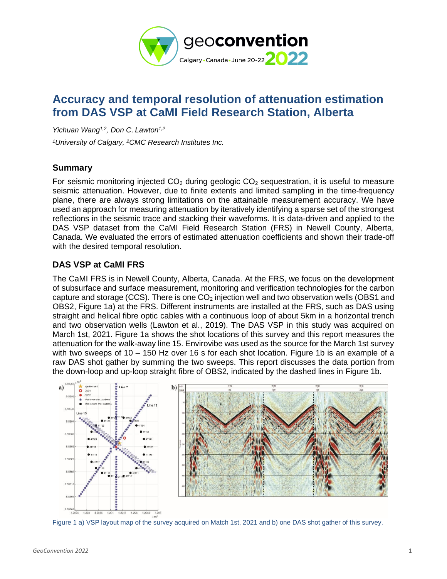

# **Accuracy and temporal resolution of attenuation estimation from DAS VSP at CaMI Field Research Station, Alberta**

*Yichuan Wang1,2, Don C*. *Lawton1,2*

*<sup>1</sup>University of Calgary, <sup>2</sup>CMC Research Institutes Inc.*

## **Summary**

For seismic monitoring injected  $CO<sub>2</sub>$  during geologic  $CO<sub>2</sub>$  sequestration, it is useful to measure seismic attenuation. However, due to finite extents and limited sampling in the time-frequency plane, there are always strong limitations on the attainable measurement accuracy. We have used an approach for measuring attenuation by iteratively identifying a sparse set of the strongest reflections in the seismic trace and stacking their waveforms. It is data-driven and applied to the DAS VSP dataset from the CaMI Field Research Station (FRS) in Newell County, Alberta, Canada. We evaluated the errors of estimated attenuation coefficients and shown their trade-off with the desired temporal resolution.

# **DAS VSP at CaMI FRS**

The CaMI FRS is in Newell County, Alberta, Canada. At the FRS, we focus on the development of subsurface and surface measurement, monitoring and verification technologies for the carbon capture and storage (CCS). There is one  $CO<sub>2</sub>$  injection well and two observation wells (OBS1 and OBS2, [Figure 1a](#page-0-0)) at the FRS. Different instruments are installed at the FRS, such as DAS using straight and helical fibre optic cables with a continuous loop of about 5km in a horizontal trench and two observation wells (Lawton et al., 2019). The DAS VSP in this study was acquired on March 1st, 2021. [Figure 1a](#page-0-0) shows the shot locations of this survey and this report measures the attenuation for the walk-away line 15. Envirovibe was used as the source for the March 1st survey with two sweeps of 10 – 150 Hz over 16 s for each shot location. [Figure 1b](#page-0-0) is an example of a raw DAS shot gather by summing the two sweeps. This report discusses the data portion from the down-loop and up-loop straight fibre of OBS2, indicated by the dashed lines in [Figure 1b](#page-0-0).



<span id="page-0-0"></span>Figure 1 a) VSP layout map of the survey acquired on Match 1st, 2021 and b) one DAS shot gather of this survey.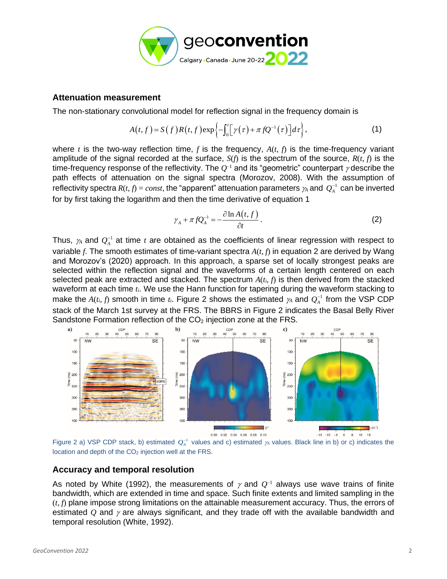

### **Attenuation measurement**

The non-stationary convolutional model for reflection signal in the frequency domain is

$$
A(t,f) = S(f)R(t,f) \exp\left\{-\int_0^t \left[\gamma(\tau) + \pi f Q^{-1}(\tau)\right] d\tau\right\},\tag{1}
$$

where  $t$  is the two-way reflection time,  $f$  is the frequency,  $A(t, f)$  is the time-frequency variant amplitude of the signal recorded at the surface, *S*(*f*) is the spectrum of the source, *R*(*t*, *f*) is the time-frequency response of the reflectivity. The  $O^{-1}$  and its "geometric" counterpart  $\gamma$  describe the path effects of attenuation on the signal spectra (Morozov, 2008). With the assumption of reflectivity spectra  $R(t, f) = const$ , the "apparent" attenuation parameters  $\gamma_A$  and  $Q_A^{-1}$  can be inverted for by first taking the logarithm and then the time derivative of equation [1](#page-1-0)

<span id="page-1-1"></span><span id="page-1-0"></span>
$$
\gamma_A + \pi f Q_A^{-1} = -\frac{\partial \ln A(t, f)}{\partial t}.
$$
 (2)

Thus,  $\gamma_A$  and  $Q_A^{-1}$  at time *t* are obtained as the coefficients of linear regression with respect to variable *f*. The smooth estimates of time-variant spectra *A*(*t, f*) in equation [2](#page-1-1) are derived by Wang and Morozov's (2020) approach. In this approach, a sparse set of locally strongest peaks are selected within the reflection signal and the waveforms of a certain length centered on each selected peak are extracted and stacked. The spectrum  $A(t_i, f)$  is then derived from the stacked waveform at each time *ti*. We use the Hann function for tapering during the waveform stacking to make the  $A(t_i, f)$  smooth in time  $t_i$ . [Figure 2](#page-1-2) shows the estimated  $\gamma_A$  and  $Q_A^{-1}$  from the VSP CDP stack of the March 1st survey at the FRS. The BBRS in [Figure 2](#page-1-2) indicates the Basal Belly River Sandstone Formation reflection of the  $CO<sub>2</sub>$  injection zone at the FRS.



<span id="page-1-2"></span>Figure 2 a) VSP CDP stack, b) estimated  $Q_A^{-1}$  values and c) estimated  $\gamma_A$  values. Black line in b) or c) indicates the location and depth of the CO<sub>2</sub> injection well at the FRS.

## **Accuracy and temporal resolution**

As noted by White (1992), the measurements of  $\gamma$  and  $Q^{-1}$  always use wave trains of finite bandwidth, which are extended in time and space. Such finite extents and limited sampling in the (*t, f*) plane impose strong limitations on the attainable measurement accuracy. Thus, the errors of estimated  $Q$  and  $\gamma$  are always significant, and they trade off with the available bandwidth and temporal resolution (White, 1992).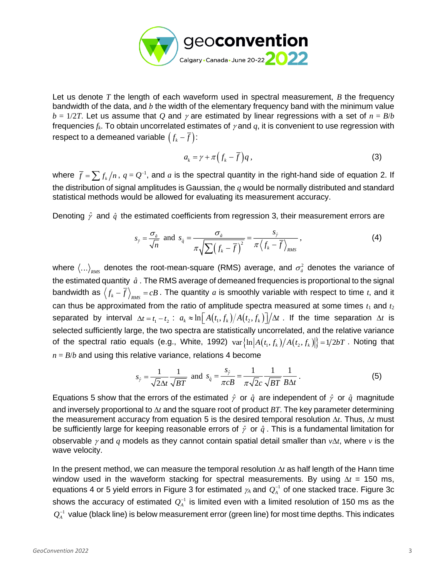

Let us denote *T* the length of each waveform used in spectral measurement, *B* the frequency bandwidth of the data, and *b* the width of the elementary frequency band with the minimum value  $b = 1/2T$ . Let us assume that Q and  $\gamma$  are estimated by linear regressions with a set of  $n = B/b$ frequencies  $f_k$ . To obtain uncorrelated estimates of  $\gamma$  and  $q$ , it is convenient to use regression with respect to a demeaned variable  $\left(f_{\scriptscriptstyle k} - \overline{f}\right)$ :

<span id="page-2-1"></span><span id="page-2-0"></span>
$$
a_k = \gamma + \pi \left( f_k - \overline{f} \right) q \,, \tag{3}
$$

where  $\bar{f} = \sum f_k / n$ ,  $q = Q^{-1}$ , and  $a$  is the spectral quantity in the right-hand side of equation [2.](#page-1-1) If the distribution of signal amplitudes is Gaussian, the *q* would be normally distributed and standard statistical methods would be allowed for evaluating its measurement accuracy.

Denoting  $\hat{\gamma}$  and  $\hat{q}$  the estimated coefficients from regression [3,](#page-2-0) their measurement errors are

$$
s_{\hat{y}} = \frac{\sigma_{\hat{a}}}{\sqrt{n}} \text{ and } s_{\hat{q}} = \frac{\sigma_{\hat{a}}}{\pi \sqrt{\sum (f_k - \overline{f})^2}} = \frac{s_{\hat{y}}}{\pi \langle f_k - \overline{f} \rangle_{\text{RMS}}},
$$
(4)

where  $\langle...\rangle_{_{RMS}}$  denotes the root-mean-square (RMS) average, and  $\sigma_{\hat{a}}^2$  denotes the variance of the estimated quantity  $\hat{a}$  . The RMS average of demeaned frequencies is proportional to the signal bandwidth as  $\langle f_k - f \rangle_{_{RMS}} = cB$  . The quantity  $a$  is smoothly variable with respect to time  $t$ , and it can thus be approximated from the ratio of amplitude spectra measured at some times  $t_1$  and  $t_2$ separated by interval  $\Delta t=t_1-t_2$ :  $a_k \approx \ln\left[A(t_1,f_k)/A(t_2,f_k)\right]/\Delta t$  . If the time separation  $\Delta t$  is selected sufficiently large, the two spectra are statistically uncorrelated, and the relative variance of the spectral ratio equals (e.g., White, 1992)  $\text{var}\left\{\ln\left|A(t_1,f_k)/A(t_2,f_k)\right|\right\} = 1/2bT$  . Noting that  $n = B/b$  and using this relative variance, relations [4](#page-2-1) become

$$
s_{\hat{y}} = \frac{1}{\sqrt{2}\Delta t} \frac{1}{\sqrt{BT}} \text{ and } s_{\hat{q}} = \frac{s_{\hat{y}}}{\pi cB} = \frac{1}{\pi \sqrt{2}c} \frac{1}{\sqrt{BT}} \frac{1}{B\Delta t}.
$$
 (5)

Equations 5 show that the errors of the estimated  $\hat{\gamma}$  or  $\hat{q}$  are independent of  $\hat{\gamma}$  or  $\hat{q}$  magnitude and inversely proportional to  $\Delta t$  and the square root of product *BT*. The key parameter determining the measurement accuracy from equation 5 is the desired temporal resolution  $\Delta t$ . Thus,  $\Delta t$  must be sufficiently large for keeping reasonable errors of  $\hat{\gamma}$  or  $\hat{q}$  . This is a fundamental limitation for observable  $\gamma$  and  $q$  models as they cannot contain spatial detail smaller than  $v\Delta t$ , where  $v$  is the wave velocity.

In the present method, we can measure the temporal resolution  $\Delta t$  as half length of the Hann time window used in the waveform stacking for spectral measurements. By using  $\Delta t$  = 150 ms, equations [4](#page-2-1) or 5 yield errors in [Figure 3](#page-3-0) for estimated  $\not\!\!{}_{A}$  and  $\mathcal{Q}^{-1}_{\scriptscriptstyle{A}}$  of one stacked trace. [Figure 3c](#page-3-0) shows the accuracy of estimated  $\mathcal{Q}_{\scriptscriptstyle{A}}^{\scriptscriptstyle -1}$  is limited even with a limited resolution of 150 ms as the  $\mathcal{Q}_\mathrm{A}^{-1}$  value (black line) is below measurement error (green line) for most time depths. This indicates